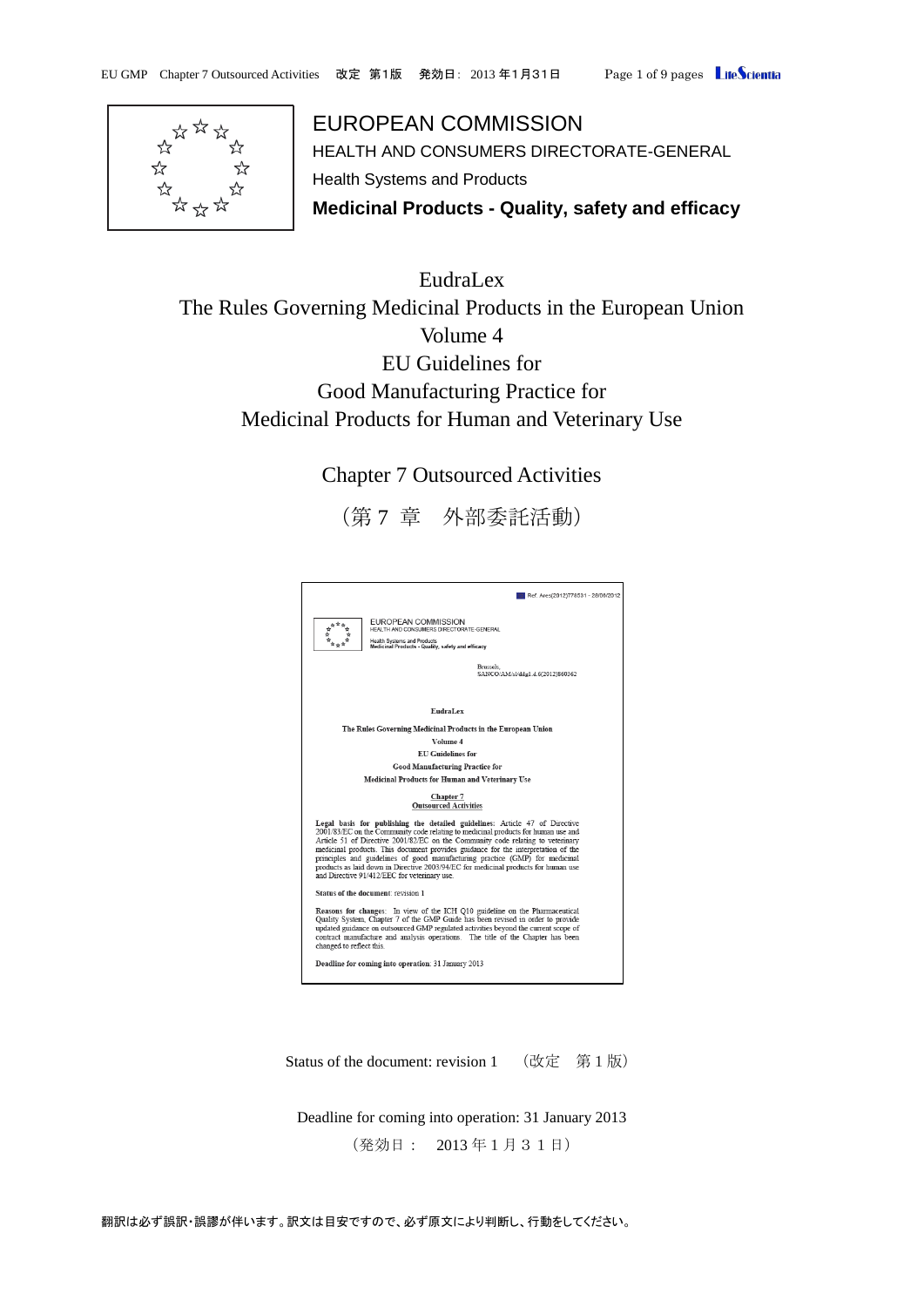

EUROPEAN COMMISSION HEALTH AND CONSUMERS DIRECTORATE-GENERAL Health Systems and Products **Medicinal Products - Quality, safety and efficacy**

EudraLex The Rules Governing Medicinal Products in the European Union Volume 4 EU Guidelines for Good Manufacturing Practice for Medicinal Products for Human and Veterinary Use

Chapter 7 Outsourced Activities

(第 7 章 外部委託活動)



Status of the document: revision 1 (改定 第1版)

Deadline for coming into operation: 31 January 2013 (発効日: 2013 年1月31日)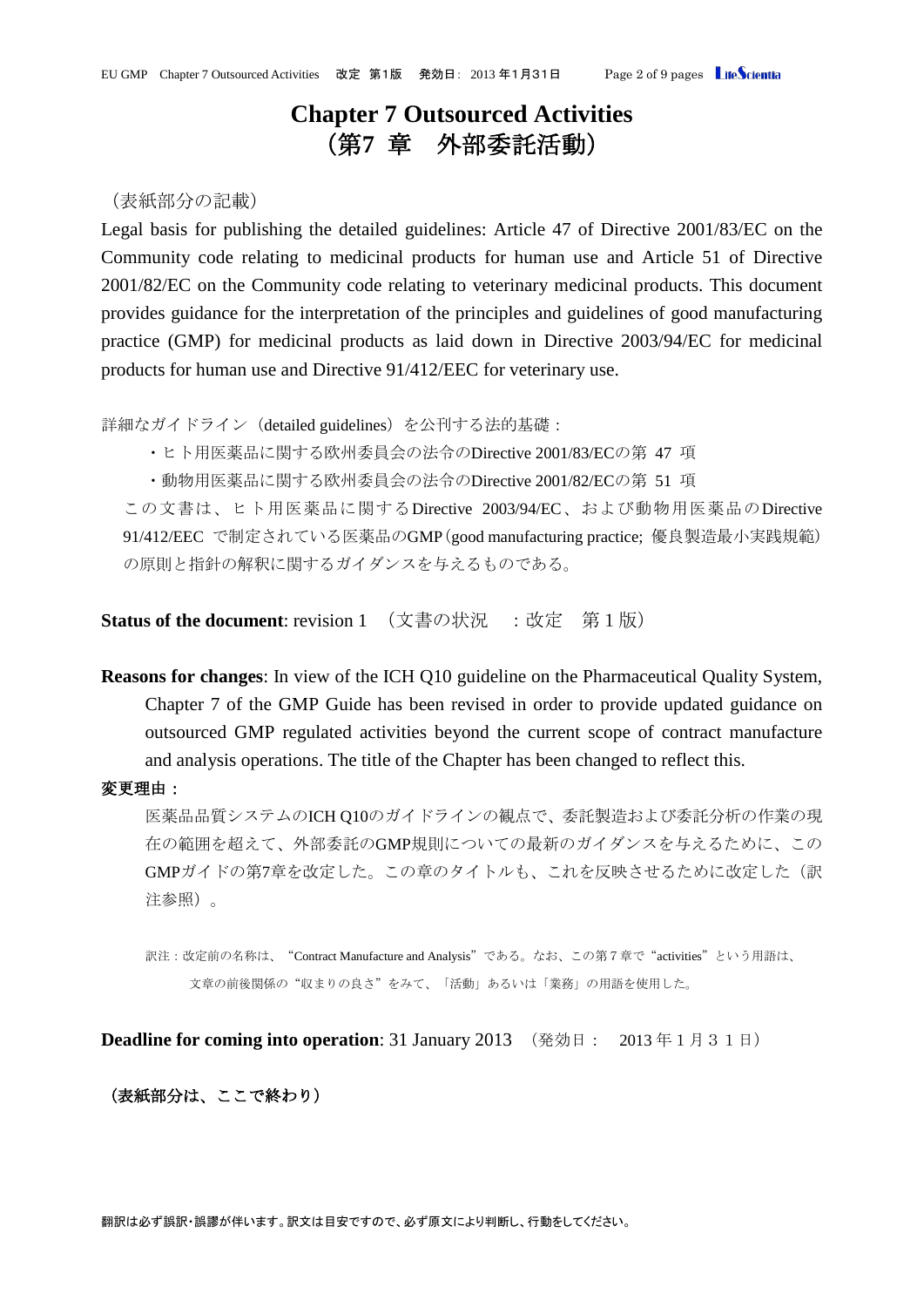# **Chapter 7 Outsourced Activities** (第**7** 章 外部委託活動)

## (表紙部分の記載)

Legal basis for publishing the detailed guidelines: Article 47 of Directive 2001/83/EC on the Community code relating to medicinal products for human use and Article 51 of Directive 2001/82/EC on the Community code relating to veterinary medicinal products. This document provides guidance for the interpretation of the principles and guidelines of good manufacturing practice (GMP) for medicinal products as laid down in Directive 2003/94/EC for medicinal products for human use and Directive 91/412/EEC for veterinary use.

詳細なガイドライン (detailed guidelines) を公刊する法的基礎:

・ヒト用医薬品に関する欧州委員会の法令のDirective 2001/83/ECの第 47 項

・動物用医薬品に関する欧州委員会の法令のDirective 2001/82/ECの第 51 項

この文書は、ヒト用医薬品に関するDirective 2003/94/EC、および動物用医薬品のDirective 91/412/EEC で制定されている医薬品のGMP(good manufacturing practice; 優良製造最小実践規範) の原則と指針の解釈に関するガイダンスを与えるものである。

**Status of the document**: revision 1 (文書の状況 :改定 第1版)

**Reasons for changes**: In view of the ICH Q10 guideline on the Pharmaceutical Quality System, Chapter 7 of the GMP Guide has been revised in order to provide updated guidance on outsourced GMP regulated activities beyond the current scope of contract manufacture and analysis operations. The title of the Chapter has been changed to reflect this.

#### 変更理由:

医薬品品質システムのICH Q10のガイドラインの観点で、委託製造および委託分析の作業の現 在の範囲を超えて、外部委託のGMP規則についての最新のガイダンスを与えるために、この GMPガイドの第7章を改定した。この章のタイトルも、これを反映させるために改定した(訳 注参照)。

訳注:改定前の名称は、"Contract Manufacture and Analysis"である。なお、この第7章で"activities"という用語は、 文章の前後関係の"収まりの良さ"をみて、「活動」あるいは「業務」の用語を使用した。

**Deadline for coming into operation**: 31 January 2013 (発効日: 2013年1月31日)

#### (表紙部分は、ここで終わり)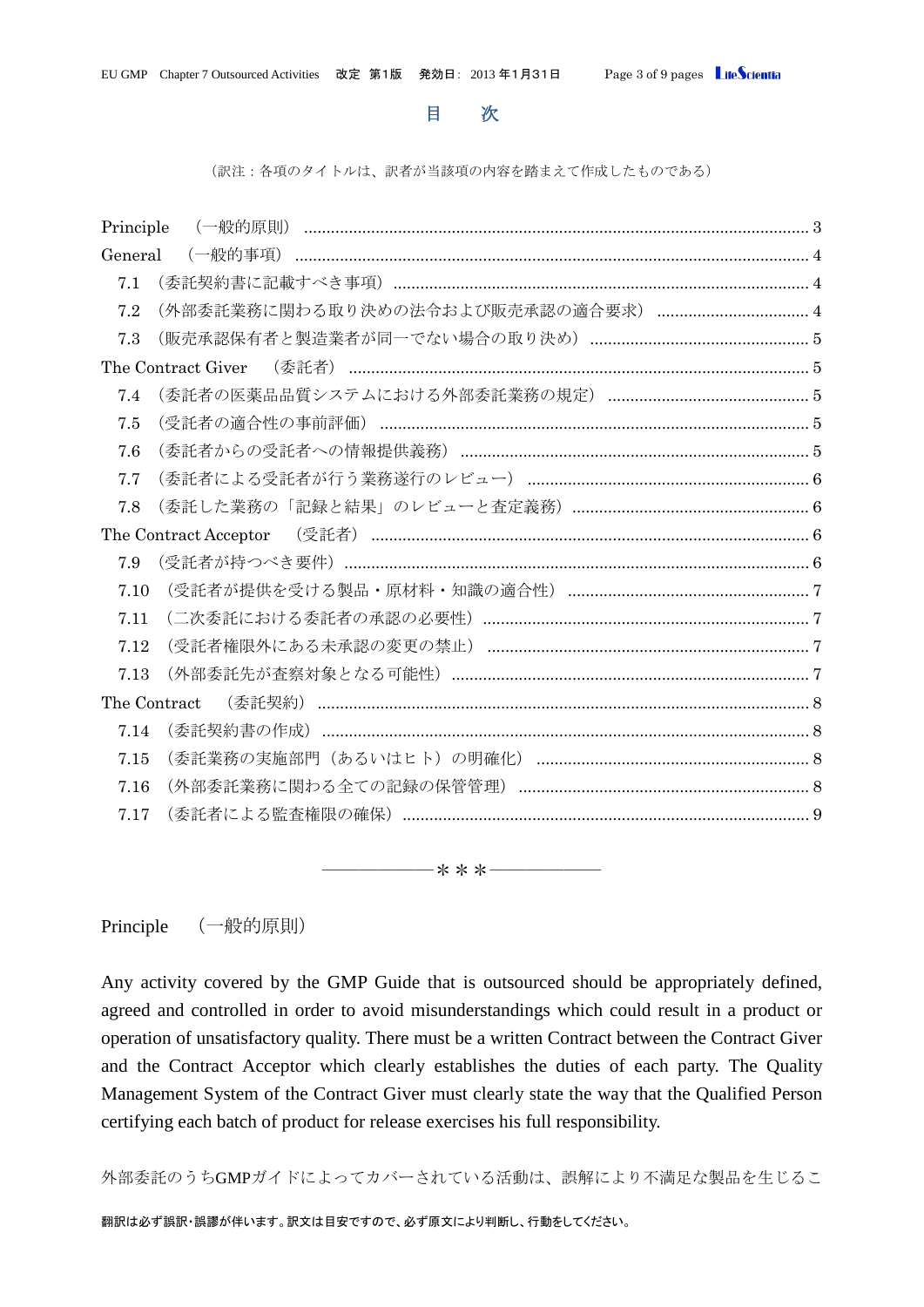## 目 次

(訳注:各項のタイトルは、訳者が当該項の内容を踏まえて作成したものである)

| Principle          |                                    |  |
|--------------------|------------------------------------|--|
| General            | (一般的事項)                            |  |
| 7.1                |                                    |  |
| 7.2                | (外部委託業務に関わる取り決めの法令および販売承認の適合要求)  4 |  |
| 7.3                |                                    |  |
| The Contract Giver |                                    |  |
| 7.4                |                                    |  |
| 7.5                |                                    |  |
| 7.6                |                                    |  |
| 7.7                |                                    |  |
| 7.8                |                                    |  |
|                    |                                    |  |
| 7.9                |                                    |  |
| 7.10               |                                    |  |
| 7.11               |                                    |  |
| 7.12               |                                    |  |
| 7.13               |                                    |  |
| The Contract       |                                    |  |
| 7.14               |                                    |  |
| 7.15               |                                    |  |
| 7.16               |                                    |  |
| 7.17               |                                    |  |
|                    |                                    |  |

――――――\*\*\*――――――

<span id="page-2-0"></span>Principle (一般的原則)

Any activity covered by the GMP Guide that is outsourced should be appropriately defined, agreed and controlled in order to avoid misunderstandings which could result in a product or operation of unsatisfactory quality. There must be a written Contract between the Contract Giver and the Contract Acceptor which clearly establishes the duties of each party. The Quality Management System of the Contract Giver must clearly state the way that the Qualified Person certifying each batch of product for release exercises his full responsibility.

外部委託のうちGMPガイドによってカバーされている活動は、誤解により不満足な製品を生じるこ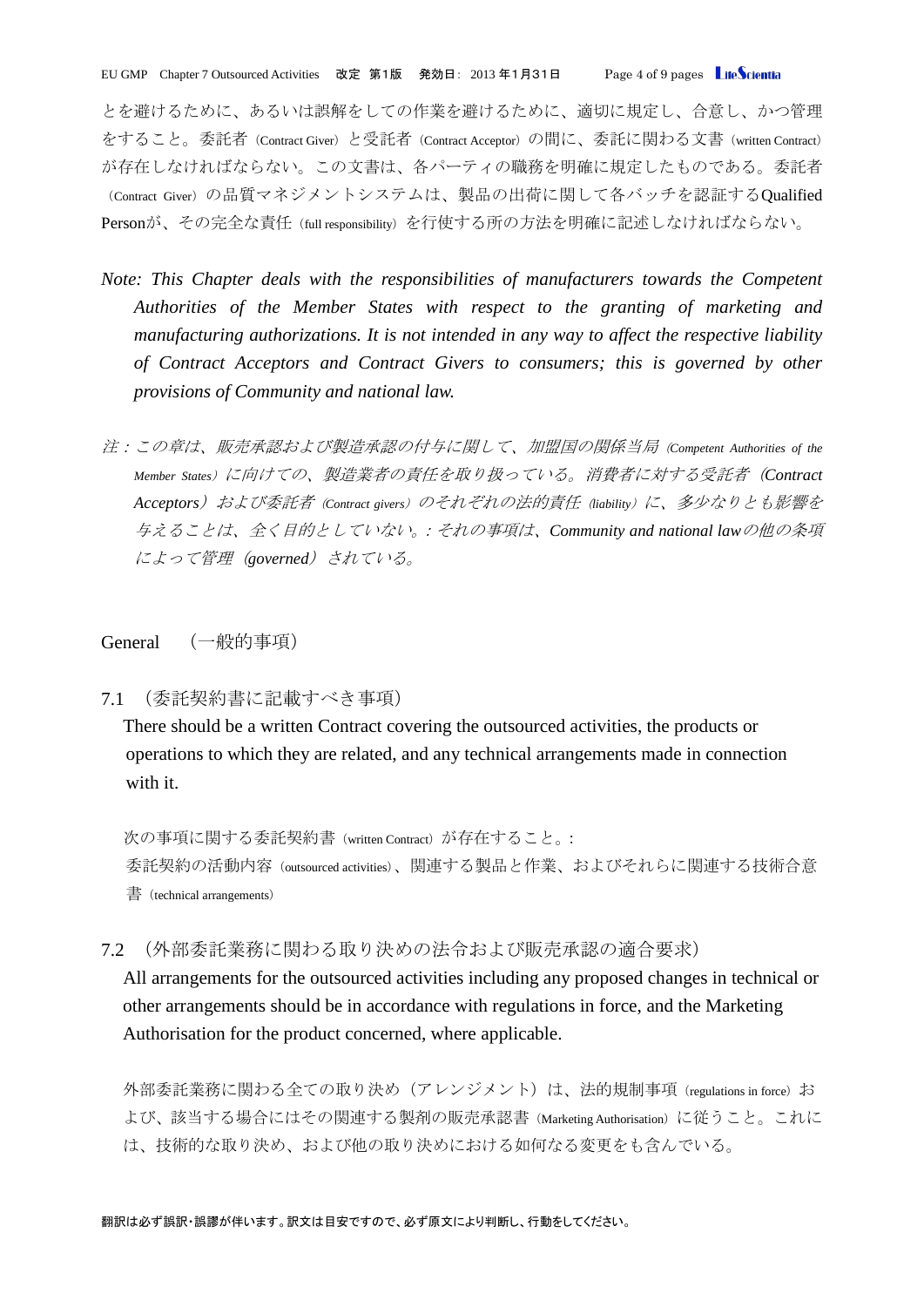EU GMP Chapter 7 Outsourced Activities 改定 第1版 発効日: 2013 年1月31日 Page 4 of 9 pages LifeScientia

とを避けるために、あるいは誤解をしての作業を避けるために、適切に規定し、合意し、かつ管理 をすること。委託者(Contract Giver)と受託者(Contract Acceptor)の間に、委託に関わる文書(written Contract) が存在しなければならない。この文書は、各パーティの職務を明確に規定したものである。委託者 (Contract Giver)の品質マネジメントシステムは、製品の出荷に関して各バッチを認証するQualified Personが、その完全な責任(full responsibility)を行使する所の方法を明確に記述しなければならない。

- *Note: This Chapter deals with the responsibilities of manufacturers towards the Competent Authorities of the Member States with respect to the granting of marketing and manufacturing authorizations. It is not intended in any way to affect the respective liability of Contract Acceptors and Contract Givers to consumers; this is governed by other provisions of Community and national law.*
- 注:この章は、販売承認および製造承認の付与に関して、加盟国の関係当局(*Competent Authorities of the Member States*)に向けての、製造業者の責任を取り扱っている。消費者に対する受託者(*Contract Acceptors*)および委託者(*Contract givers*)のそれぞれの法的責任(*liability*)に、多少なりとも影響を 与えることは、全く目的としていない。:それの事項は、*Community and national law*の他の条項 によって管理(*governed*)されている。

## <span id="page-3-0"></span>General (一般的事項)

<span id="page-3-1"></span>7.1 (委託契約書に記載すべき事項)

There should be a written Contract covering the outsourced activities, the products or operations to which they are related, and any technical arrangements made in connection with it.

次の事項に関する委託契約書(written Contract)が存在すること。: 委託契約の活動内容(outsourced activities)、関連する製品と作業、およびそれらに関連する技術合意 書(technical arrangements)

<span id="page-3-2"></span>7.2 (外部委託業務に関わる取り決めの法令および販売承認の適合要求)

All arrangements for the outsourced activities including any proposed changes in technical or other arrangements should be in accordance with regulations in force, and the Marketing Authorisation for the product concerned, where applicable.

外部委託業務に関わる全ての取り決め(アレンジメント)は、法的規制事項(regulations in force)お よび、該当する場合にはその関連する製剤の販売承認書(Marketing Authorisation)に従うこと。これに は、技術的な取り決め、および他の取り決めにおける如何なる変更をも含んでいる。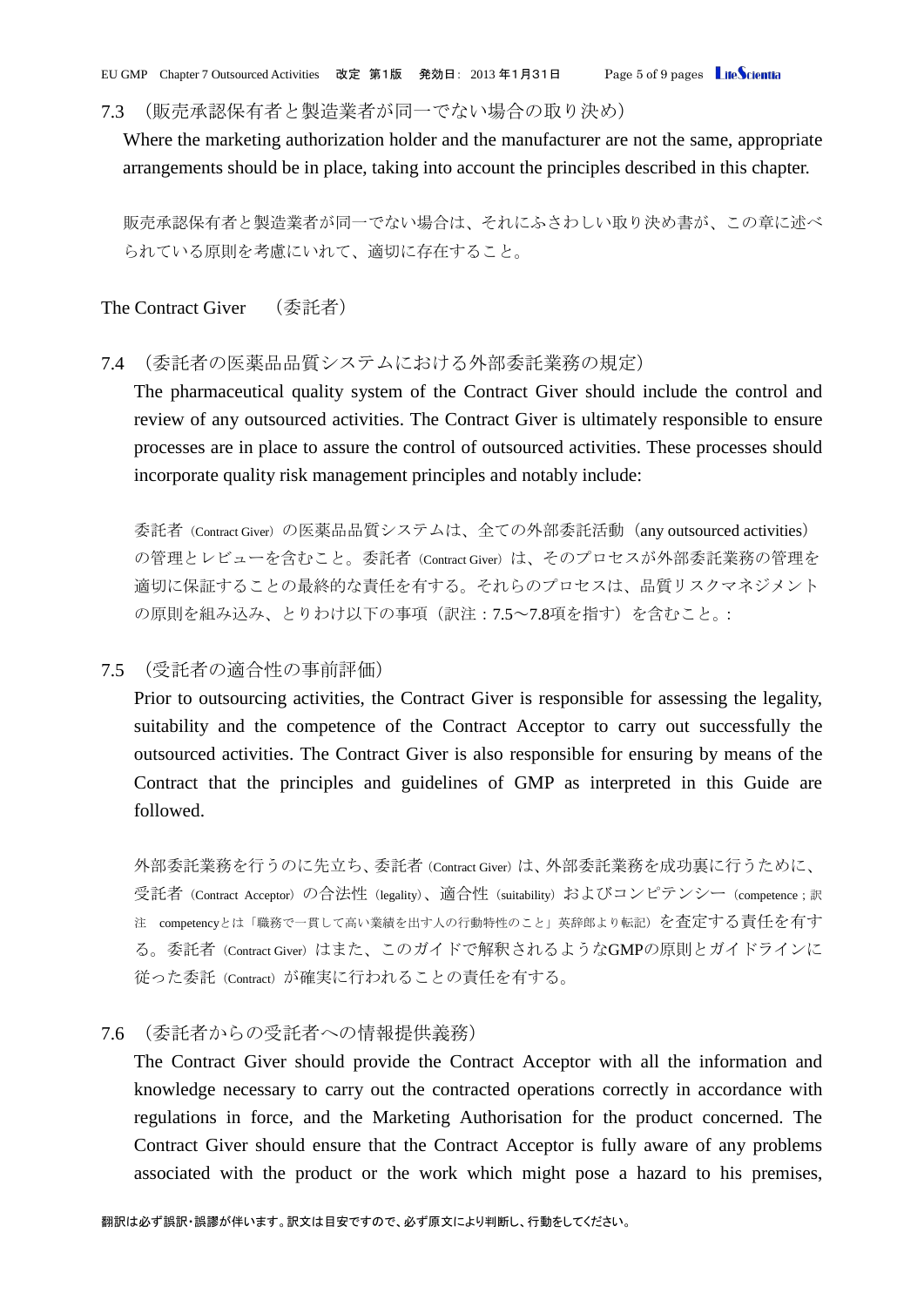EU GMP Chapter 7 Outsourced Activities 改定 第1版 発効日: 2013 年1月31日 Page 5 of 9 pages LifeScientia

<span id="page-4-0"></span>7.3 (販売承認保有者と製造業者が同一でない場合の取り決め)

Where the marketing authorization holder and the manufacturer are not the same, appropriate arrangements should be in place, taking into account the principles described in this chapter.

販売承認保有者と製造業者が同一でない場合は、それにふさわしい取り決め書が、この章に述べ られている原則を考慮にいれて、適切に存在すること。

<span id="page-4-1"></span>The Contract Giver (委託者)

## <span id="page-4-2"></span>7.4 (委託者の医薬品品質システムにおける外部委託業務の規定)

The pharmaceutical quality system of the Contract Giver should include the control and review of any outsourced activities. The Contract Giver is ultimately responsible to ensure processes are in place to assure the control of outsourced activities. These processes should incorporate quality risk management principles and notably include:

委託者(Contract Giver)の医薬品品質システムは、全ての外部委託活動 (any outsourced activities) の管理とレビューを含むこと。委託者 (Contract Giver) は、そのプロセスが外部委託業務の管理を 適切に保証することの最終的な責任を有する。それらのプロセスは、品質リスクマネジメント の原則を組み込み、とりわけ以下の事項(訳注:7.5~7.8項を指す)を含むこと。:

# <span id="page-4-3"></span>7.5 (受託者の適合性の事前評価)

Prior to outsourcing activities, the Contract Giver is responsible for assessing the legality, suitability and the competence of the Contract Acceptor to carry out successfully the outsourced activities. The Contract Giver is also responsible for ensuring by means of the Contract that the principles and guidelines of GMP as interpreted in this Guide are followed.

外部委託業務を行うのに先立ち、委託者(Contract Giver)は、外部委託業務を成功裏に行うために、 受託者(Contract Acceptor)の合法性(legality)、適合性(suitability)およびコンピテンシー(competence;訳 注 competencyとは「職務で一貫して高い業績を出す人の行動特性のこと」英辞郎より転記)を査定する責任を有す る。委託者(Contract Giver)はまた、このガイドで解釈されるようなGMPの原則とガイドラインに 従った委託(Contract)が確実に行われることの責任を有する。

## <span id="page-4-4"></span>7.6 (委託者からの受託者への情報提供義務)

The Contract Giver should provide the Contract Acceptor with all the information and knowledge necessary to carry out the contracted operations correctly in accordance with regulations in force, and the Marketing Authorisation for the product concerned. The Contract Giver should ensure that the Contract Acceptor is fully aware of any problems associated with the product or the work which might pose a hazard to his premises,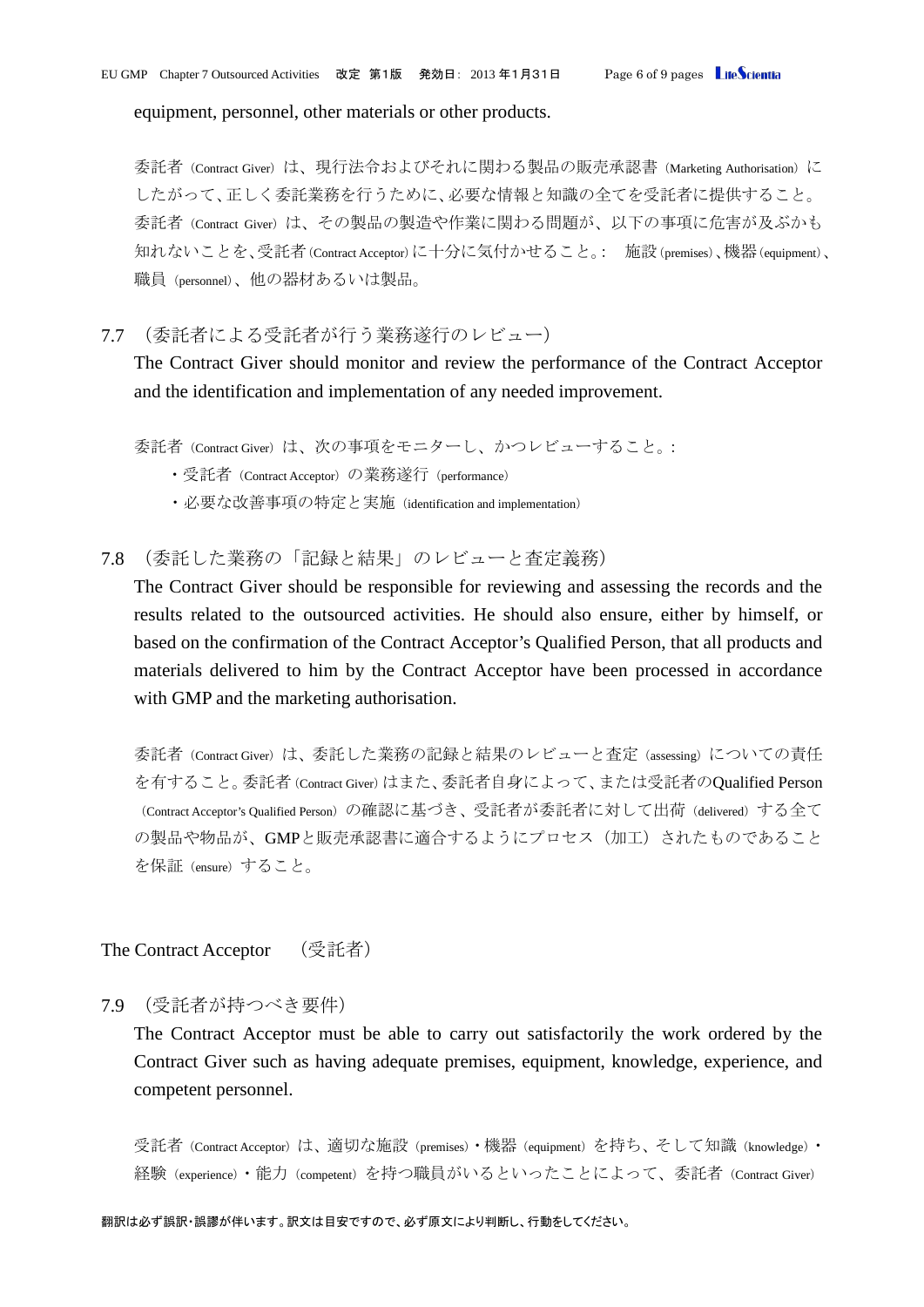equipment, personnel, other materials or other products.

委託者(Contract Giver)は、現行法令およびそれに関わる製品の販売承認書(Marketing Authorisation)に したがって、正しく委託業務を行うために、必要な情報と知識の全てを受託者に提供すること。 委託者(Contract Giver)は、その製品の製造や作業に関わる問題が、以下の事項に危害が及ぶかも 知れないことを、受託者(Contract Acceptor)に十分に気付かせること。: 施設(premises)、機器(equipment)、 職員(personnel)、他の器材あるいは製品。

<span id="page-5-0"></span>7.7 (委託者による受託者が行う業務遂行のレビュー)

The Contract Giver should monitor and review the performance of the Contract Acceptor and the identification and implementation of any needed improvement.

- 委託者(Contract Giver)は、次の事項をモニターし、かつレビューすること。:
	- ・受託者 (Contract Acceptor) の業務遂行 (performance)
	- ・必要な改善事項の特定と実施(identification and implementation)

<span id="page-5-1"></span>7.8 (委託した業務の「記録と結果」のレビューと査定義務)

The Contract Giver should be responsible for reviewing and assessing the records and the results related to the outsourced activities. He should also ensure, either by himself, or based on the confirmation of the Contract Acceptor's Qualified Person, that all products and materials delivered to him by the Contract Acceptor have been processed in accordance with GMP and the marketing authorisation.

委託者(Contract Giver)は、委託した業務の記録と結果のレビューと査定(assessing)についての責任 を有すること。委託者(Contract Giver)はまた、委託者自身によって、または受託者のQualified Person (Contract Acceptor's Qualified Person)の確認に基づき、受託者が委託者に対して出荷(delivered)する全て の製品や物品が、GMPと販売承認書に適合するようにプロセス (加工) されたものであること を保証(ensure)すること。

<span id="page-5-2"></span>The Contract Acceptor (受託者)

<span id="page-5-3"></span>7.9 (受託者が持つべき要件)

The Contract Acceptor must be able to carry out satisfactorily the work ordered by the Contract Giver such as having adequate premises, equipment, knowledge, experience, and competent personnel.

受託者(Contract Acceptor)は、適切な施設(premises)·機器(equipment)を持ち、そして知識(knowledge)· 経験(experience)·能力(competent)を持つ職員がいるといったことによって、委託者(Contract Giver)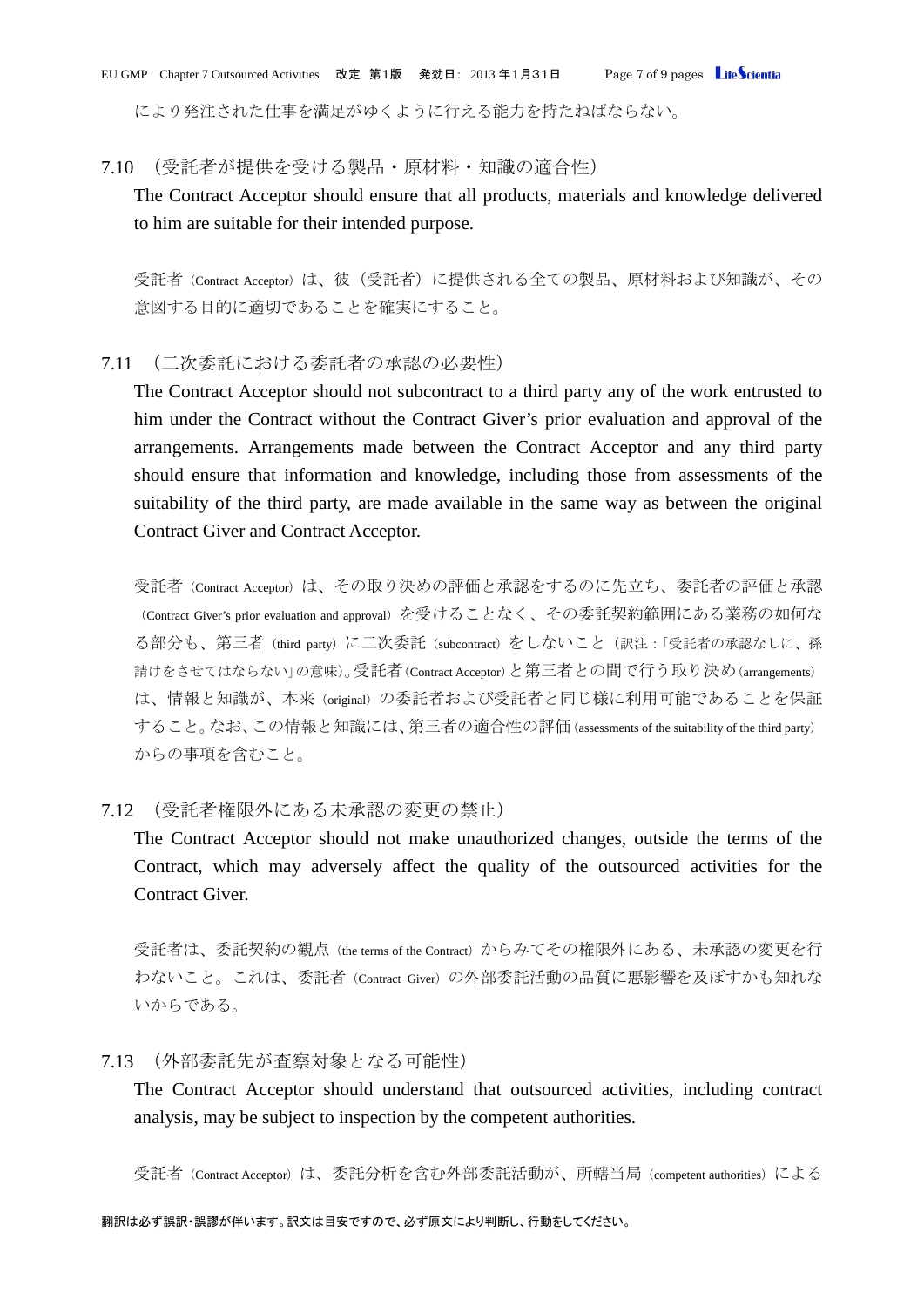EU GMP Chapter 7 Outsourced Activities 改定 第1版 発効日: 2013 年1月31日 Page 7 of 9 pages LifeScientia

により発注された仕事を満足がゆくように行える能力を持たねばならない。

#### <span id="page-6-0"></span>7.10 (受託者が提供を受ける製品・原材料・知識の適合性)

The Contract Acceptor should ensure that all products, materials and knowledge delivered to him are suitable for their intended purpose.

受託者(Contract Acceptor)は、彼(受託者)に提供される全ての製品、原材料および知識が、その 意図する目的に適切であることを確実にすること。

# <span id="page-6-1"></span>7.11 (二次委託における委託者の承認の必要性)

The Contract Acceptor should not subcontract to a third party any of the work entrusted to him under the Contract without the Contract Giver's prior evaluation and approval of the arrangements. Arrangements made between the Contract Acceptor and any third party should ensure that information and knowledge, including those from assessments of the suitability of the third party, are made available in the same way as between the original Contract Giver and Contract Acceptor.

受託者(Contract Acceptor)は、その取り決めの評価と承認をするのに先立ち、委託者の評価と承認 (Contract Giver's prior evaluation and approval)を受けることなく、その委託契約範囲にある業務の如何な る部分も、第三者 (third party) に二次委託 (subcontract) をしないこと (訳注:「受託者の承認なしに、孫 請けをさせてはならない」の意味)。受託者(Contract Acceptor)と第三者との間で行う取り決め(arrangements) は、情報と知識が、本来(original)の委託者および受託者と同じ様に利用可能であることを保証 すること。なお、この情報と知識には、第三者の適合性の評価(assessments of the suitability of the third party) からの事項を含むこと。

# <span id="page-6-2"></span>7.12 (受託者権限外にある未承認の変更の禁止)

The Contract Acceptor should not make unauthorized changes, outside the terms of the Contract, which may adversely affect the quality of the outsourced activities for the Contract Giver.

受託者は、委託契約の観点 (the terms of the Contract) からみてその権限外にある、未承認の変更を行 わないこと。これは、委託者 (Contract Giver)の外部委託活動の品質に悪影響を及ぼすかも知れな いからである。

# <span id="page-6-3"></span>7.13 (外部委託先が査察対象となる可能性)

The Contract Acceptor should understand that outsourced activities, including contract analysis, may be subject to inspection by the competent authorities.

受託者(Contract Acceptor)は、委託分析を含む外部委託活動が、所轄当局(competent authorities)による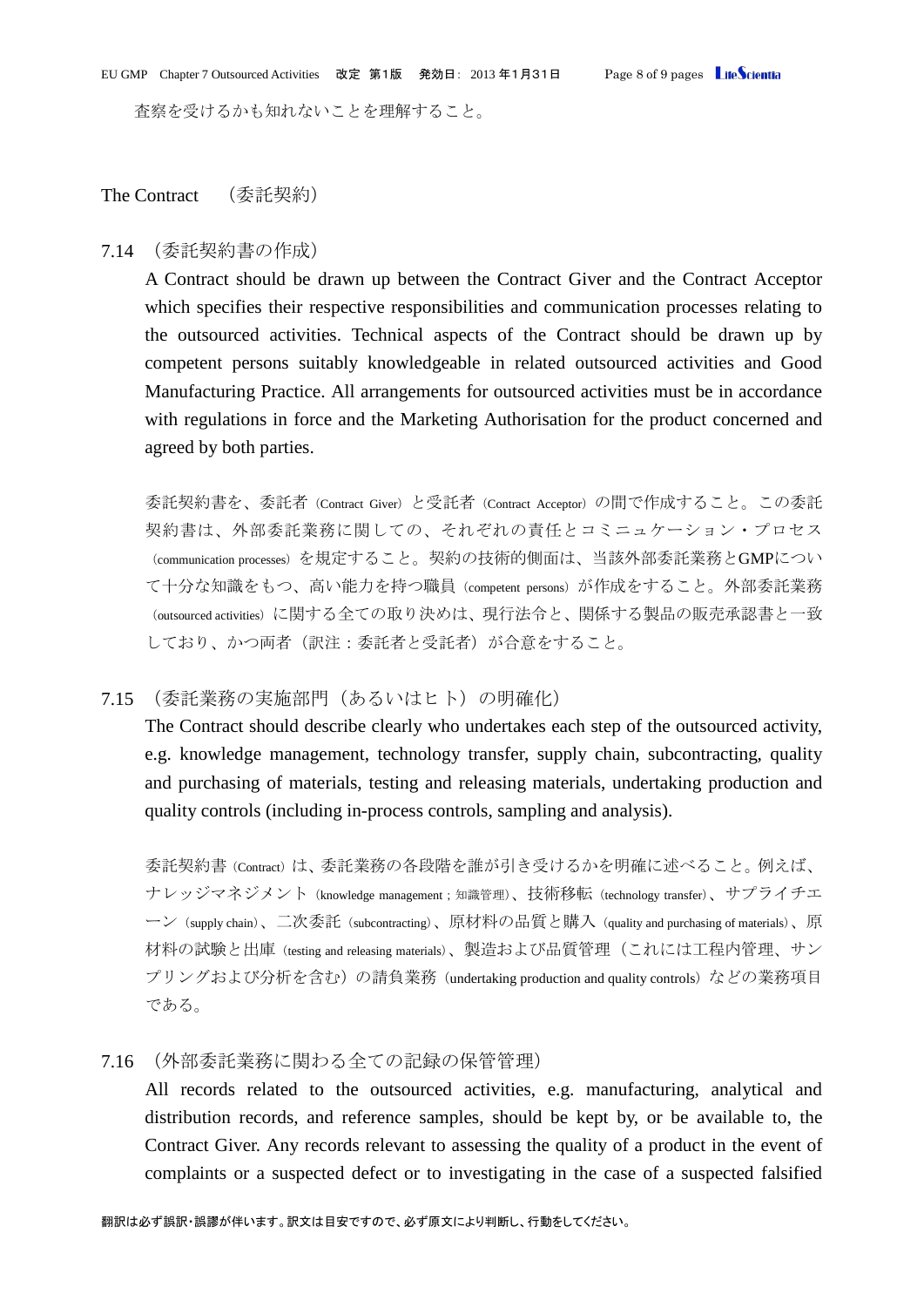査察を受けるかも知れないことを理解すること。

# <span id="page-7-0"></span>The Contract (委託契約)

#### <span id="page-7-1"></span>7.14 (委託契約書の作成)

A Contract should be drawn up between the Contract Giver and the Contract Acceptor which specifies their respective responsibilities and communication processes relating to the outsourced activities. Technical aspects of the Contract should be drawn up by competent persons suitably knowledgeable in related outsourced activities and Good Manufacturing Practice. All arrangements for outsourced activities must be in accordance with regulations in force and the Marketing Authorisation for the product concerned and agreed by both parties.

委託契約書を、委託者(Contract Giver)と受託者(Contract Acceptor)の間で作成すること。この委託 契約書は、外部委託業務に関しての、それぞれの責任とコミニュケーション・プロセス (communication processes)を規定すること。契約の技術的側面は、当該外部委託業務とGMPについ て十分な知識をもつ、高い能力を持つ職員(competent persons)が作成をすること。外部委託業務 (outsourced activities)に関する全ての取り決めは、現行法令と、関係する製品の販売承認書と一致 しており、かつ両者(訳注:委託者と受託者)が合意をすること。

#### <span id="page-7-2"></span>7.15 (委託業務の実施部門(あるいはヒト)の明確化)

The Contract should describe clearly who undertakes each step of the outsourced activity, e.g. knowledge management, technology transfer, supply chain, subcontracting, quality and purchasing of materials, testing and releasing materials, undertaking production and quality controls (including in-process controls, sampling and analysis).

委託契約書(Contract)は、委託業務の各段階を誰が引き受けるかを明確に述べること。例えば、 ナレッジマネジメント (knowledge management;知識管理)、技術移転 (technology transfer)、サプライチエ ーン(supply chain)、二次委託(subcontracting)、原材料の品質と購入(quality and purchasing of materials)、原 材料の試験と出庫(testing and releasing materials)、製造および品質管理(これには工程内管理、サン プリングおよび分析を含む)の請負業務 (undertaking production and quality controls) などの業務項目 である。

## <span id="page-7-3"></span>7.16 (外部委託業務に関わる全ての記録の保管管理)

All records related to the outsourced activities, e.g. manufacturing, analytical and distribution records, and reference samples, should be kept by, or be available to, the Contract Giver. Any records relevant to assessing the quality of a product in the event of complaints or a suspected defect or to investigating in the case of a suspected falsified